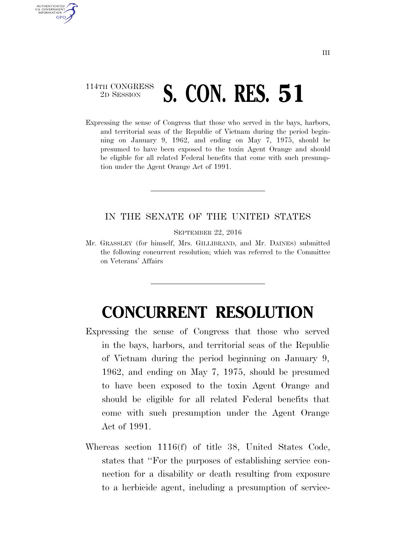## 114TH CONGRESS <sup>TH CONGRESS</sup> S. CON. RES. 51

AUTHENTICATED U.S. GOVERNMENT **GPO** 

> Expressing the sense of Congress that those who served in the bays, harbors, and territorial seas of the Republic of Vietnam during the period beginning on January 9, 1962, and ending on May 7, 1975, should be presumed to have been exposed to the toxin Agent Orange and should be eligible for all related Federal benefits that come with such presumption under the Agent Orange Act of 1991.

## IN THE SENATE OF THE UNITED STATES

SEPTEMBER 22, 2016

Mr. GRASSLEY (for himself, Mrs. GILLIBRAND, and Mr. DAINES) submitted the following concurrent resolution; which was referred to the Committee on Veterans' Affairs

## **CONCURRENT RESOLUTION**

- Expressing the sense of Congress that those who served in the bays, harbors, and territorial seas of the Republic of Vietnam during the period beginning on January 9, 1962, and ending on May 7, 1975, should be presumed to have been exposed to the toxin Agent Orange and should be eligible for all related Federal benefits that come with such presumption under the Agent Orange Act of 1991.
- Whereas section 1116(f) of title 38, United States Code, states that ''For the purposes of establishing service connection for a disability or death resulting from exposure to a herbicide agent, including a presumption of service-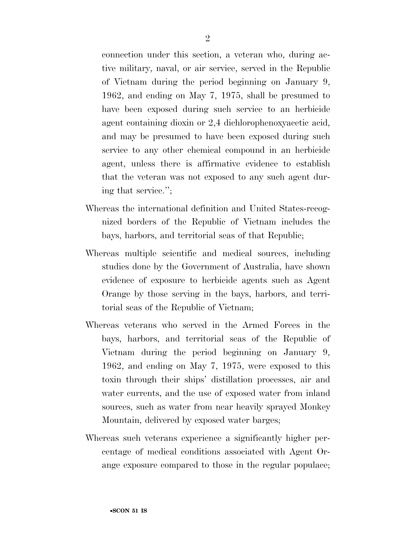connection under this section, a veteran who, during active military, naval, or air service, served in the Republic of Vietnam during the period beginning on January 9, 1962, and ending on May 7, 1975, shall be presumed to have been exposed during such service to an herbicide agent containing dioxin or 2,4 dichlorophenoxyacetic acid, and may be presumed to have been exposed during such service to any other chemical compound in an herbicide agent, unless there is affirmative evidence to establish that the veteran was not exposed to any such agent during that service.'';

- Whereas the international definition and United States-recognized borders of the Republic of Vietnam includes the bays, harbors, and territorial seas of that Republic;
- Whereas multiple scientific and medical sources, including studies done by the Government of Australia, have shown evidence of exposure to herbicide agents such as Agent Orange by those serving in the bays, harbors, and territorial seas of the Republic of Vietnam;
- Whereas veterans who served in the Armed Forces in the bays, harbors, and territorial seas of the Republic of Vietnam during the period beginning on January 9, 1962, and ending on May 7, 1975, were exposed to this toxin through their ships' distillation processes, air and water currents, and the use of exposed water from inland sources, such as water from near heavily sprayed Monkey Mountain, delivered by exposed water barges;
- Whereas such veterans experience a significantly higher percentage of medical conditions associated with Agent Orange exposure compared to those in the regular populace;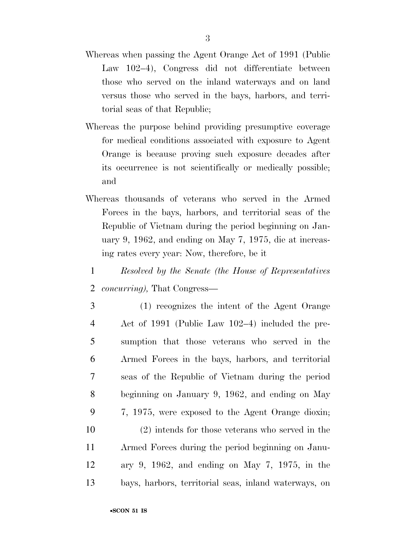- Whereas when passing the Agent Orange Act of 1991 (Public Law 102–4), Congress did not differentiate between those who served on the inland waterways and on land versus those who served in the bays, harbors, and territorial seas of that Republic;
- Whereas the purpose behind providing presumptive coverage for medical conditions associated with exposure to Agent Orange is because proving such exposure decades after its occurrence is not scientifically or medically possible; and
- Whereas thousands of veterans who served in the Armed Forces in the bays, harbors, and territorial seas of the Republic of Vietnam during the period beginning on January 9, 1962, and ending on May 7, 1975, die at increasing rates every year: Now, therefore, be it
- 1 *Resolved by the Senate (the House of Representatives*  2 *concurring),* That Congress—
- 3 (1) recognizes the intent of the Agent Orange 4 Act of 1991 (Public Law 102–4) included the pre-5 sumption that those veterans who served in the 6 Armed Forces in the bays, harbors, and territorial 7 seas of the Republic of Vietnam during the period 8 beginning on January 9, 1962, and ending on May 9 7, 1975, were exposed to the Agent Orange dioxin; 10 (2) intends for those veterans who served in the 11 Armed Forces during the period beginning on Janu-
- 12 ary 9, 1962, and ending on May 7, 1975, in the 13 bays, harbors, territorial seas, inland waterways, on